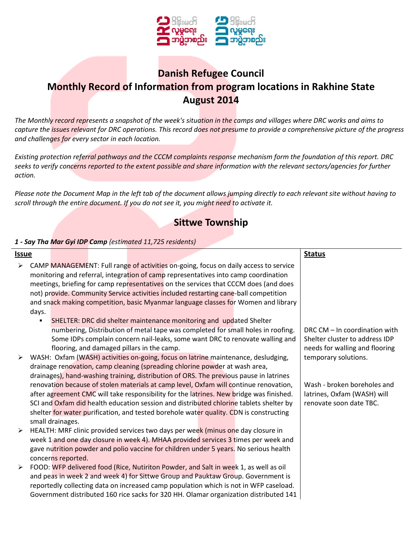

# **Danish Refugee Council Monthly Record of Information from program locations in Rakhine State August 2014**

*The Monthly record represents a snapshot of the week's situation in the camps and villages where DRC works and aims to capture the issues relevant for DRC operations. This record does not presume to provide a comprehensive picture of the progress and challenges for every sector in each location.*

*Existing protection referral pathways and the CCCM complaints response mechanism form the foundation of this report. DRC seeks to verify concerns reported to the extent possible and share information with the relevant sectors/agencies for further action.*

*Please note the Document Map in the left tab of the document allows jumping directly to each relevant site without having to scroll through the entire document. If you do not see it, you might need to activate it.*

## **Sittwe Township**

### *1 - Say Tha Mar Gyi IDP Camp (estimated 11,725 residents)*

| <u>Issue</u>          |                                                                                       |                    |  |                                                                                         |  |  | <b>Status</b>                  |
|-----------------------|---------------------------------------------------------------------------------------|--------------------|--|-----------------------------------------------------------------------------------------|--|--|--------------------------------|
| ➤                     |                                                                                       |                    |  | CAMP MANAGEMENT: Full range of activities on-going, focus on daily access to service    |  |  |                                |
|                       | monitoring and referral, integration of camp representatives into camp coordination   |                    |  |                                                                                         |  |  |                                |
|                       | meetings, briefing for camp representatives on the services that CCCM does (and does  |                    |  |                                                                                         |  |  |                                |
|                       |                                                                                       |                    |  | not) provide. Community Service activities included restarting cane-ball competition    |  |  |                                |
|                       |                                                                                       |                    |  | and snack making competition, basic Myanmar language classes for Women and library      |  |  |                                |
|                       | days.                                                                                 |                    |  |                                                                                         |  |  |                                |
|                       |                                                                                       |                    |  | SHELTER: DRC did shelter maintenance monitoring and updated Shelter                     |  |  |                                |
|                       |                                                                                       |                    |  | numbering, Distribution of metal tape was completed for small holes in roofing.         |  |  | DRC CM – In coordination with  |
|                       |                                                                                       |                    |  | Some IDPs complain concern nail-leaks, some want DRC to renovate walling and            |  |  | Shelter cluster to address IDP |
|                       |                                                                                       |                    |  | flooring, and damaged pillars in the camp.                                              |  |  | needs for walling and flooring |
|                       |                                                                                       |                    |  | WASH: Oxfam (WASH) activities on-going, focus on latrine maintenance, desludging,       |  |  | temporary solutions.           |
|                       |                                                                                       |                    |  | drainage renovation, camp cleaning (spreading chlorine powder at wash area,             |  |  |                                |
|                       |                                                                                       |                    |  | drainages), hand-washing training, distribution of ORS. The previous pause in latrines  |  |  |                                |
|                       |                                                                                       |                    |  | renovation because of stolen materials at camp level, Oxfam will continue renovation,   |  |  | Wash - broken boreholes and    |
|                       |                                                                                       |                    |  | after agreement CMC will take responsibility for the latrines. New bridge was finished. |  |  | latrines, Oxfam (WASH) will    |
|                       |                                                                                       |                    |  | SCI and Oxfam did health education session and distributed chlorine tablets shelter by  |  |  | renovate soon date TBC.        |
|                       |                                                                                       |                    |  | shelter for water purification, and tested borehole water quality. CDN is constructing  |  |  |                                |
|                       |                                                                                       | small drainages.   |  |                                                                                         |  |  |                                |
|                       |                                                                                       |                    |  | HEALTH: MRF clinic provided services two days per week (minus one day closure in        |  |  |                                |
|                       |                                                                                       |                    |  | week 1 and one day closure in week 4). MHAA provided services 3 times per week and      |  |  |                                |
|                       |                                                                                       |                    |  | gave nutrition powder and polio vaccine for children under 5 years. No serious health   |  |  |                                |
|                       |                                                                                       | concerns reported. |  |                                                                                         |  |  |                                |
| $\blacktriangleright$ |                                                                                       |                    |  | FOOD: WFP delivered food (Rice, Nutiriton Powder, and Salt in week 1, as well as oil    |  |  |                                |
|                       |                                                                                       |                    |  | and peas in week 2 and week 4) for Sittwe Group and Pauktaw Group. Government is        |  |  |                                |
|                       |                                                                                       |                    |  | reportedly collecting data on increased camp population which is not in WFP caseload.   |  |  |                                |
|                       | Government distributed 160 rice sacks for 320 HH. Olamar organization distributed 141 |                    |  |                                                                                         |  |  |                                |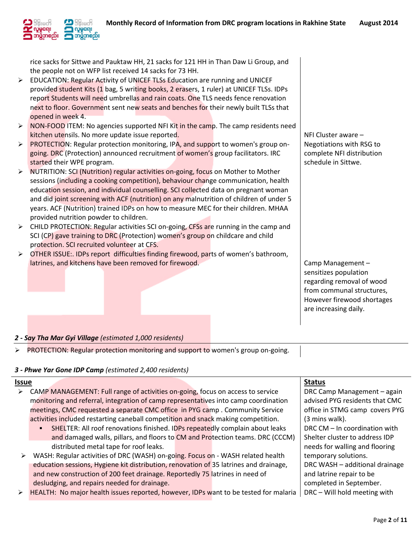

rice sacks for Sittwe and Pauktaw HH, 21 sacks for 121 HH in Than Daw Li Group, and the people not on WFP list received 14 sacks for 73 HH.

- $\triangleright$  EDUCATION: Regular Activity of UNICEF TLSs Education are running and UNICEF provided student Kits (1 bag, 5 writing books, 2 erasers, 1 ruler) at UNICEF TLSs. IDPs report Students will need umbrellas and rain coats. One TLS needs fence renovation next to floor. Government sent new seats and benches for their newly built TLSs that opened in week 4.
- $\triangleright$  NON-FOOD ITEM: No agencies supported NFI Kit in the camp. The camp residents need kitchen utensils. No more update issue reported.
- **PROTECTION:** Regular protection monitoring, IPA, and support to women's group ongoing. DRC (Protection) announced recruitment of women's group facilitators. IRC started their WPE program.
- $\triangleright$  NUTRITION: SCI (Nutrition) regular activities on-going, focus on Mother to Mother sessions (including a cooking competition), behaviour change communication, health education session, and individual counselling. SCI collected data on pregnant woman and did joint screening with ACF (nutrition) on any malnutrition of children of under 5 years. ACF (Nutrition) trained IDPs on how to measure MEC for their children. MHAA provided nutrition powder to children.
- $\triangleright$  CHILD PROTECTION: Regular activities SCI on-going, CFSs are running in the camp and SCI (CP) gave training to DRC (Protection) women's group on childcare and child protection. SCI recruited volunteer at CFS.
- $\triangleright$  OTHER ISSUE:. IDPs report difficulties finding firewood, parts of women's bathroom, latrines, and kitchens have been removed for firewood.

NFI Cluster aware – Negotiations with RSG to complete NFI distribution schedule in Sittwe.

Camp Management – sensitizes population regarding removal of wood from communal structures, However firewood shortages are increasing daily.

#### *2 - Say Tha Mar Gyi Village (estimated 1,000 residents)*

PROTECTION: Regular protection monitoring and support to women's group on-going.

#### *3 - Phwe Yar Gone IDP Camp (estimated 2,400 residents)*

| Issue |                                                                                       | <b>Status</b>                  |
|-------|---------------------------------------------------------------------------------------|--------------------------------|
| ➤     | CAMP MANAGEMENT: Full range of activities on-going, focus on access to service        | DRC Camp Management - again    |
|       | monitoring and referral, integration of camp representatives into camp coordination   | advised PYG residents that CMC |
|       | meetings, CMC requested a separate CMC office in PYG camp. Community Service          | office in STMG camp covers PYG |
|       | activities included restarting caneball competition and snack making competition.     | (3 mins walk).                 |
|       | SHELTER: All roof renovations finished. IDPs repeatedly complain about leaks          | DRC CM - In coordination with  |
|       | and damaged walls, pillars, and floors to CM and Protection teams. DRC (CCCM)         | Shelter cluster to address IDP |
|       | distributed metal tape for roof leaks.                                                | needs for walling and flooring |
| ➤     | WASH: Regular activities of DRC (WASH) on-going. Focus on - WASH related health       | temporary solutions.           |
|       | education sessions, Hygiene kit distribution, renovation of 35 latrines and drainage, | DRC WASH - additional drainage |
|       | and new construction of 200 feet drainage. Reportedly 75 latrines in need of          | and latrine repair to be       |
|       | desludging, and repairs needed for drainage.                                          | completed in September.        |
| ➤     | HEALTH: No major health issues reported, however, IDPs want to be tested for malaria  | DRC - Will hold meeting with   |
|       |                                                                                       |                                |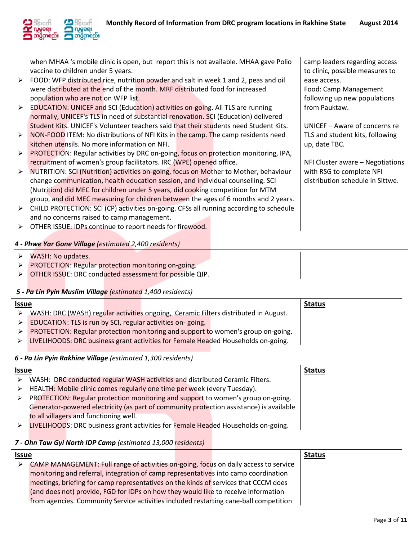camp leaders regarding access to clinic, possible measures to

UNICEF – Aware of concerns re TLS and student kits, following

NFI Cluster aware – Negotiations

with RSG to complete NFI distribution schedule in Sittwe.

Food: Camp Management following up new populations

ease access.

from Pauktaw.

up, date TBC.



when MHAA 's mobile clinic is open, but report this is not available. MHAA gave Polio vaccine to children under 5 years.

- $\triangleright$  FOOD: WFP distributed rice, nutrition powder and salt in week 1 and 2, peas and oil were distributed at the end of the month. MRF distributed food for increased population who are not on WFP list.
- EDUCATION: UNICEF and SCI (Education) activities on-going. All TLS are running normally, UNICEF's TLS in need of substantial renovation. SCI (Education) delivered Student Kits. UNICEF's Volunteer teachers said that their students need Student Kits.
- $\triangleright$  NON-FOOD ITEM: No distributions of NFI Kits in the camp. The camp residents need kitchen utensils. No more information on NFI.
- PROTECTION: Regular activities by DRC on-going, focus on protection monitoring, IPA, recruitment of women's group facilitators. IRC (WPE) opened office.
- $\triangleright$  NUTRITION: SCI (Nutrition) activities on-going, focus on Mother to Mother, behaviour change communication, health education session, and individual counselling. SCI (Nutrition) did MEC for children under 5 years, did cooking competition for MTM group, and did MEC measuring for children between the ages of 6 months and 2 years.
- $\triangleright$  CHILD PROTECTION: SCI (CP) activities on-going. CFSs all running according to schedule and no concerns raised to camp management.
- > OTHER ISSUE: IDPs continue to report needs for firewood.

## *4 - Phwe Yar Gone Village (estimated 2,400 residents)*

- WASH: No updates.
- **PROTECTION: Regular protection monitoring on-going.**
- OTHER ISSUE: DRC conducted assessment for possible QIP.

## *5 - Pa Lin Pyin Muslim Village (estimated 1,400 residents)*

| <u>Issue</u>     |                                                            |  |                                                                                     | <b>Status</b> |
|------------------|------------------------------------------------------------|--|-------------------------------------------------------------------------------------|---------------|
|                  |                                                            |  | WASH: DRC (WASH) regular activities ongoing, Ceramic Filters distributed in August. |               |
|                  | EDUCATION: TLS is run by SCI, regular activities on-going. |  |                                                                                     |               |
|                  |                                                            |  | PROTECTION: Regular protection monitoring and support to women's group on-going.    |               |
| $\triangleright$ |                                                            |  | LIVELIHOODS: DRC business grant activities for Female Headed Households on-going.   |               |
|                  |                                                            |  |                                                                                     |               |

## *6 - Pa Lin Pyin Rakhine Village (estimated 1,300 residents)*

| <b>Issue</b>     |                                                                                         | <b>Status</b> |
|------------------|-----------------------------------------------------------------------------------------|---------------|
| ≻                | WASH: DRC conducted regular WASH activities and distributed Ceramic Filters.            |               |
| $\triangleright$ | HEALTH: Mobile clinic comes regularly one time per week (every Tuesday).                |               |
| ≻                | PROTECTION: Regular protection monitoring and support to women's group on-going.        |               |
|                  | Generator-powered electricity (as part of community protection assistance) is available |               |
|                  | to all villagers and functioning well.                                                  |               |
| $\triangleright$ | LIVELIHOODS: DRC business grant activities for Female Headed Households on-going.       |               |
|                  |                                                                                         |               |

## *7 - Ohn Taw Gyi North IDP Camp (estimated 13,000 residents)*

| <b>Issue</b> |                                                                                       | <b>Status</b> |
|--------------|---------------------------------------------------------------------------------------|---------------|
| ≻            | CAMP MANAGEMENT: Full range of activities on-going, focus on daily access to service  |               |
|              | monitoring and referral, integration of camp representatives into camp coordination   |               |
|              | meetings, briefing for camp representatives on the kinds of services that CCCM does   |               |
|              | (and does not) provide, FGD for IDPs on how they would like to receive information    |               |
|              | from agencies. Community Service activities included restarting cane-ball competition |               |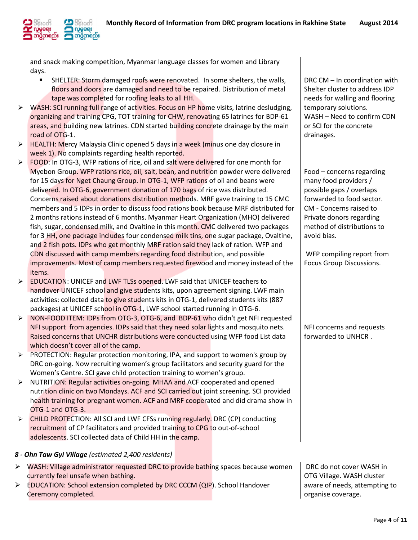and snack making competition, Myanmar language classes for women and Library days.

- SHELTER: Storm damaged roofs were renovated. In some shelters, the walls, floors and doors are damaged and need to be repaired. Distribution of metal tape was completed for roofing leaks to all HH.
- $\triangleright$  WASH: SCI running full range of activities. Focus on HP home visits, latrine desludging, organizing and training CPG, TOT training for CHW, renovating 65 latrines for BDP-61 areas, and building new latrines. CDN started building concrete drainage by the main road of OTG-1.
- $\triangleright$  HEALTH: Mercy Malaysia Clinic opened 5 days in a week (minus one day closure in week 1). No complaints regarding health reported.
- FOOD: In OTG-3, WFP rations of rice, oil and salt were delivered for one month for Myebon Group. WFP rations rice, oil, salt, bean, and nutrition powder were delivered for 15 days for Nget Chaung Group. In OTG-1, WFP rations of oil and beans were delivered. In OTG-6, government donation of 170 bags of rice was distributed. Concerns raised about donations distribution methods. MRF gave training to 15 CMC members and 5 IDPs in order to discuss food rations book because MRF distributed for 2 months rations instead of 6 months. Myanmar Heart Organization (MHO) delivered fish, sugar, condensed milk, and Ovaltine in this month. CMC delivered two packages for 3 HH, one package includes four condensed milk tins, one sugar package, Ovaltine, and 2 fish pots. IDPs who get monthly MRF ration said they lack of ration. WFP and CDN discussed with camp members regarding food distribution, and possible improvements. Most of camp members requested firewood and money instead of the items.
- EDUCATION: UNICEF and LWF TLSs opened. LWF said that UNICEF teachers to handover UNICEF school and give students kits, upon agreement signing. LWF main activities: collected data to give students kits in OTG-1, delivered students kits (887 packages) at UNICEF school in OTG-1, LWF school started running in OTG-6.
- ▶ NON-FOOD ITEM: IDPs from OTG-3, OTG-6, and BDP-61 who didn't get NFI requested NFI support from agencies. IDPs said that they need solar lights and mosquito nets. Raised concerns that UNCHR distributions were conducted using WFP food List data which doesn't cover all of the camp.
- $\triangleright$  PROTECTION: Regular protection monitoring, IPA, and support to women's group by DRC on-going. Now recruiting women's group facilitators and security guard for the Women's Centre. SCI gave child protection training to women's group.
- > NUTRITION: Regular activities on-going. MHAA and ACF cooperated and opened nutrition clinic on two Mondays. ACF and SCI carried out joint screening. SCI provided health training for pregnant women. ACF and MRF cooperated and did drama show in OTG-1 and OTG-3.
- $\triangleright$  CHILD PROTECTION: All SCI and LWF CFSs running regularly. DRC (CP) conducting recruitment of CP facilitators and provided training to CPG to out-of-school adolescents. SCI collected data of Child HH in the camp.

## *8 - Ohn Taw Gyi Village (estimated 2,400 residents)*

| WASH: Village administrator requested DRC to provide bathing spaces because women | DRC do not cover WASH in      |
|-----------------------------------------------------------------------------------|-------------------------------|
| currently feel unsafe when bathing.                                               | OTG Village. WASH cluster     |
| EDUCATION: School extension completed by DRC CCCM (QIP). School Handover          | aware of needs, attempting to |
| Ceremony completed.                                                               | organise coverage.            |

DRC CM – In coordination with Shelter cluster to address IDP needs for walling and flooring temporary solutions. WASH – Need to confirm CDN or SCI for the concrete drainages.

Food – concerns regarding many food providers / possible gaps / overlaps forwarded to food sector. CM - Concerns raised to Private donors regarding method of distributions to avoid bias.

WFP compiling report from Focus Group Discussions.

NFI concerns and requests forwarded to UNHCR .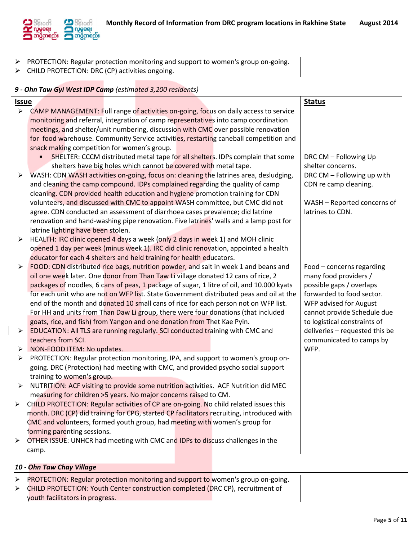

- PROTECTION: Regular protection monitoring and support to women's group on-going.
- > CHILD PROTECTION: DRC (CP) activities ongoing.

## *9 - Ohn Taw Gyi West IDP Camp (estimated 3,200 residents)*

| <b>Issue</b>          |                                                                                           | <b>Status</b>                  |
|-----------------------|-------------------------------------------------------------------------------------------|--------------------------------|
| $\blacktriangleright$ | CAMP MANAGEMENT: Full range of activities on-going, focus on daily access to service      |                                |
|                       | monitoring and referral, integration of camp representatives into camp coordination       |                                |
|                       | meetings, and shelter/unit numbering, discussion with CMC over possible renovation        |                                |
|                       | for food warehouse. Community Service activities, restarting caneball competition and     |                                |
|                       | snack making competition for women's group.                                               |                                |
|                       | SHELTER: CCCM distributed metal tape for all shelters. IDPs complain that some            | DRC CM - Following Up          |
|                       | shelters have big holes which cannot be covered with metal tape.                          | shelter concerns.              |
| ➤                     | WASH: CDN WASH activities on-going, focus on: cleaning the latrines area, desludging,     | DRC CM - Following up with     |
|                       | and cleaning the camp compound. IDPs complained regarding the quality of camp             | CDN re camp cleaning.          |
|                       | cleaning. CDN provided health education and hygiene promotion training for CDN            |                                |
|                       | volunteers, and discussed with CMC to appoint WASH committee, but CMC did not             | WASH - Reported concerns of    |
|                       | agree. CDN conducted an assessment of diarrhoea cases prevalence; did latrine             | latrines to CDN.               |
|                       | renovation and hand-washing pipe renovation. Five latrines' walls and a lamp post for     |                                |
|                       | latrine lighting have been stolen.                                                        |                                |
| ➤                     | HEALTH: IRC clinic opened 4 days a week (only 2 days in week 1) and MOH clinic            |                                |
|                       | opened 1 day per week (minus week 1). IRC did clinic renovation, appointed a health       |                                |
|                       | educator for each 4 shelters and held training for health educators.                      |                                |
| ➤                     | FOOD: CDN distributed rice bags, nutrition powder, and salt in week 1 and beans and       | Food - concerns regarding      |
|                       | oil one week later. One donor from Than Taw Li village donated 12 cans of rice, 2         | many food providers /          |
|                       | packages of noodles, 6 cans of peas, 1 package of sugar, 1 litre of oil, and 10.000 kyats | possible gaps / overlaps       |
|                       | for each unit who are not on WFP list. State Government distributed peas and oil at the   | forwarded to food sector.      |
|                       | end of the month and donated 10 small cans of rice for each person not on WFP list.       | WFP advised for August         |
|                       | For HH and units from Than Daw Li group, there were four donations (that included         | cannot provide Schedule due    |
|                       | goats, rice, and fish) from Yangon and one donation from Thet Kae Pyin.                   | to logistical constraints of   |
| ➤                     | EDUCATION: All TLS are running regularly. SCI conducted training with CMC and             | deliveries - requested this be |
|                       | teachers from SCI.                                                                        | communicated to camps by       |
| ➤                     | NON-FOOD ITEM: No updates.                                                                | WFP.                           |
| ➤                     | PROTECTION: Regular protection monitoring, IPA, and support to women's group on-          |                                |
|                       | going. DRC (Protection) had meeting with CMC, and provided psycho social support          |                                |
|                       | training to women's group.                                                                |                                |
| ➤                     | NUTRITION: ACF visiting to provide some nutrition activities. ACF Nutrition did MEC       |                                |
|                       | measuring for children >5 years. No major concerns raised to CM.                          |                                |
|                       | CHILD PROTECTION: Regular activities of CP are on-going. No child related issues this     |                                |
|                       | month. DRC (CP) did training for CPG, started CP facilitators recruiting, introduced with |                                |
|                       | CMC and volunteers, formed youth group, had meeting with women's group for                |                                |
|                       | forming parenting sessions.                                                               |                                |
| ≻                     | OTHER ISSUE: UNHCR had meeting with CMC and IDPs to discuss challenges in the             |                                |
|                       | camp.                                                                                     |                                |
|                       |                                                                                           |                                |
|                       | 10 - Ohn Taw Chay Village                                                                 |                                |
| ➤                     | PROTECTION: Regular protection monitoring and support to women's group on-going.          |                                |
|                       | CHILD PROTECTION: Youth Center construction completed (DRC CP), recruitment of            |                                |
|                       | youth facilitators in progress.                                                           |                                |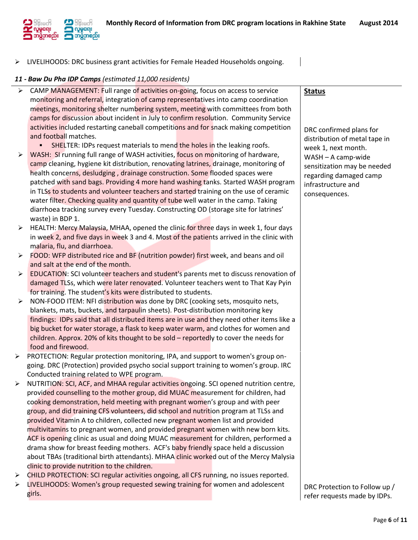

 $\triangleright$  LIVELIHOODS: DRC business grant activities for Female Headed Households ongoing.

#### *11 - Baw Du Pha IDP Camps (estimated 11,000 residents)*

- $\triangleright$  CAMP MANAGEMENT: Full range of activities on-going, focus on access to service monitoring and referral, integration of camp representatives into camp coordination meetings, monitoring shelter numbering system, meeting with committees from both camps for discussion about incident in July to confirm resolution. Community Service activities included restarting caneball competitions and for snack making competition and football matches.
- **SHELTER: IDPs request materials to mend the holes in the leaking roofs.**  $\triangleright$  WASH: SI running full range of WASH activities, focus on monitoring of hardware, camp cleaning, hygiene kit distribution, renovating latrines, drainage, monitoring of health concerns, desludging , drainage construction. Some flooded spaces were patched with sand bags. Providing 4 more hand washing tanks. Started WASH program in TLSs to students and volunteer teachers and started training on the use of ceramic water filter. Checking quality and quantity of tube well water in the camp. Taking diarrhoea tracking survey every Tuesday. Constructing OD (storage site for latrines'
- waste) in BDP 1.  $\triangleright$  HEALTH: Mercy Malaysia, MHAA, opened the clinic for three days in week 1, four days in week 2, and five days in week 3 and 4. Most of the patients arrived in the clinic with malaria, flu, and diarrhoea.
- $\triangleright$  FOOD: WFP distributed rice and BF (nutrition powder) first week, and beans and oil and salt at the end of the month.
- $\triangleright$  EDUCATION: SCI volunteer teachers and student's parents met to discuss renovation of damaged TLSs, which were later renovated. Volunteer teachers went to That Kay Pyin for training. The student's kits were distributed to students.
- $\triangleright$  NON-FOOD ITEM: NFI distribution was done by DRC (cooking sets, mosquito nets, blankets, mats, buckets, and tarpaulin sheets). Post-distribution monitoring key findings: IDPs said that all distributed items are in use and they need other items like a big bucket for water storage, a flask to keep water warm, and clothes for women and children. Approx. 20% of kits thought to be sold – reportedly to cover the needs for food and firewood.
- ▶ PROTECTION: Regular protection monitoring, IPA, and support to women's group ongoing. DRC (Protection) provided psycho social support training to women's group. IRC Conducted training related to WPE program.
- ▶ NUTRITION: SCI, ACF, and MHAA regular activities ongoing. SCI opened nutrition centre, provided counselling to the mother group, did MUAC measurement for children, had cooking demonstration, held meeting with pregnant women's group and with peer group, and did training CFS volunteers, did school and nutrition program at TLSs and provided Vitamin A to children, collected new pregnant women list and provided multivitamins to pregnant women, and provided pregnant women with new born kits. ACF is opening clinic as usual and doing MUAC measurement for children, performed a drama show for breast feeding mothers. ACF's baby friendly space held a discussion about TBAs (traditional birth attendants). MHAA clinic worked out of the Mercy Malysia clinic to provide nutrition to the children.
- ► CHILD PROTECTION: SCI regular activities ongoing, all CFS running, no issues reported.
- $\triangleright$  LIVELIHOODS: Women's group requested sewing training for women and adolescent girls.

**Status**

DRC confirmed plans for distribution of metal tape in week 1, next month. WASH – A camp-wide sensitization may be needed regarding damaged camp infrastructure and consequences.

DRC Protection to Follow up / refer requests made by IDPs.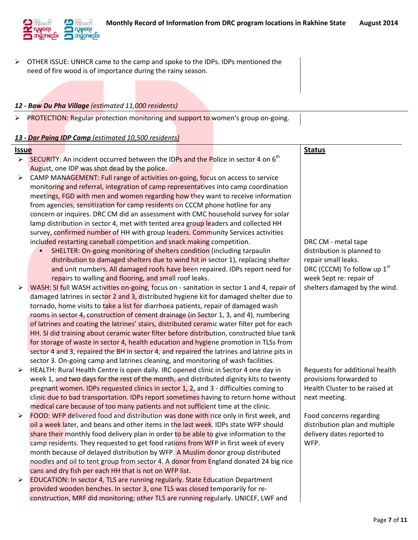

 $\triangleright$  OTHER ISSUE: UNHCR came to the camp and spoke to the IDPs. IDPs mentioned the need of fire wood is of importance during the rainy season.

#### *12 - Baw Du Pha Village (estimated 11,000 residents)*

PROTECTION: Regular protection monitoring and support to women's group on-going.

#### *13 - Dar Paing IDP Camp (estimated 10,500 residents)*

#### **Issue Status**

- $\triangleright$  SECURITY: An incident occurred between the IDPs and the Police in sector 4 on 6<sup>th</sup> August, one IDP was shot dead by the police.
- $\triangleright$  CAMP MANAGEMENT: Full range of activities on-going, focus on access to service monitoring and referral, integration of camp representatives into camp coordination meetings, FGD with men and women regarding how they want to receive information from agencies, sensitization for camp residents on CCCM phone hotline for any concern or inquires. DRC CM did an assessment with CMC household survey for solar lamp distribution in sector 4, met with tented area group leaders and collected HH survey, confirmed number of HH with group leaders. Community Services activities included restarting caneball competition and snack making competition.
	- SHELTER: On-going monitoring of shelters condition (including tarpaulin distribution to damaged shelters due to wind hit in sector 1), replacing shelter and unit numbers. All damaged roofs have been repaired. IDPs report need for repairs to walling and flooring, and small roof leaks.
- $\triangleright$  WASH: SI full WASH activities on-going, focus on sanitation in sector 1 and 4, repair of damaged latrines in sector 2 and 3, distributed hygiene kit for damaged shelter due to tornado, home visits to take a list for diarrhoea patients, repair of damaged wash rooms in sector 4, construction of cement drainage (in Sector 1, 3, and 4), numbering of latrines and coating the latrines' stairs, distributed ceramic water filter pot for each HH. SI did training about ceramic water filter before distribution, constructed blue tank for storage of waste in sector 4, health education and hygiene promotion in TLSs from sector 4 and 3, repaired the BH in sector 4, and repaired the latrines and latrine pits in sector 3. On-going camp and latrines cleaning, and monitoring of wash facilities.
- $\triangleright$  HEALTH: Rural Health Centre is open daily. IRC opened clinic in Sector 4 one day in week 1, and two days for the rest of the month, and distributed dignity kits to twenty pregnant women. IDPs requested clinics in sector 1, 2, and 3 - difficulties coming to clinic due to bad transportation. IDPs report sometimes having to return home without medical care because of too many patients and not sufficient time at the clinic.
- $\triangleright$  FOOD: WFP delivered food and distribution was done with rice only in first week, and oil a week later, and beans and other items in the last week. IDPs state WFP should share their monthly food delivery plan in order to be able to give information to the camp residents. They requested to get food rations from WFP in first week of every month because of delayed distribution by WFP. A Muslim donor group distributed noodles and oil to tent group from sector 4. A donor from England donated 24 big rice cans and dry fish per each HH that is not on WFP list.
- $\triangleright$  EDUCATION: In sector 4, TLS are running regularly. State Education Department provided wooden benches. In sector 3, one TLS was closed temporarily for reconstruction, MRF did monitoring; other TLS are running regularly. UNICEF, LWF and

DRC CM - metal tape distribution is planned to repair small leaks. DRC (CCCM) To follow up  $1<sup>st</sup>$ week Sept re: repair of shelters damaged by the wind.

Requests for additional health provisions forwarded to Health Cluster to be raised at next meeting.

Food concerns regarding distribution plan and multiple delivery dates reported to WFP.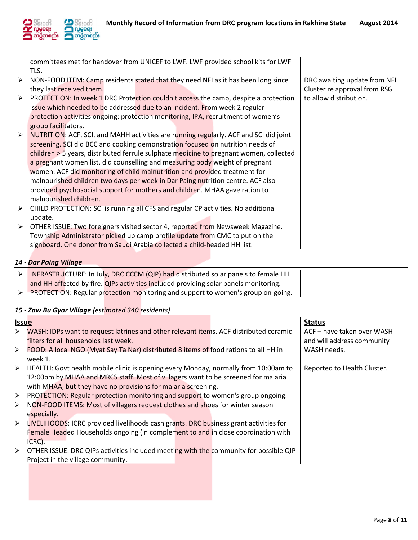

committees met for handover from UNICEF to LWF. LWF provided school kits for LWF TLS.

- > NON-FOOD ITEM: Camp residents stated that they need NFI as it has been long since they last received them.
- $\triangleright$  PROTECTION: In week 1 DRC Protection couldn't access the camp, despite a protection issue which needed to be addressed due to an incident. From week 2 regular protection activities ongoing: protection monitoring, IPA, recruitment of women's group facilitators.
- $\triangleright$  NUTRITION: ACF, SCI, and MAHH activities are running regularly. ACF and SCI did joint screening. SCI did BCC and cooking demonstration focused on nutrition needs of children > 5 years, distributed ferrule sulphate medicine to pregnant women, collected a pregnant women list, did counselling and measuring body weight of pregnant women. ACF did monitoring of child malnutrition and provided treatment for malnourished children two days per week in Dar Paing nutrition centre. ACF also provided psychosocial support for mothers and children. MHAA gave ration to malnourished children.
- CHILD PROTECTION: SCI is running all CFS and regular CP activities. No additional update.
- $\triangleright$  OTHER ISSUE: Two foreigners visited sector 4, reported from Newsweek Magazine. Township Administrator picked up camp profile update from CMC to put on the signboard. One donor from Saudi Arabia collected a child-headed HH list.

## *14 - Dar Paing Village*

- $\triangleright$  INFRASTRUCTURE: In July, DRC CCCM (QIP) had distributed solar panels to female HH and HH affected by fire. QIPs activities included providing solar panels monitoring.
- $\triangleright$  PROTECTION: Regular protection monitoring and support to women's group on-going.
- *15 - Zaw Bu Gyar Village (estimated 340 residents)*

| <b>Issue</b>          |                                                                                                        | <b>Status</b>               |
|-----------------------|--------------------------------------------------------------------------------------------------------|-----------------------------|
| $\blacktriangleright$ | WASH: IDPs want to request latrines and other relevant items. ACF distributed ceramic                  | ACF - have taken over WASH  |
|                       | filters for all households last week.                                                                  | and will address community  |
|                       | $\triangleright$ FOOD: A local NGO (Myat Say Ta Nar) distributed 8 items of food rations to all HH in  | WASH needs.                 |
|                       | week 1.                                                                                                |                             |
|                       | $\triangleright$ HEALTH: Govt health mobile clinic is opening every Monday, normally from 10:00am to   | Reported to Health Cluster. |
|                       | 12:00pm by MHAA and MRCS staff. Most of villagers want to be screened for malaria                      |                             |
|                       | with MHAA, but they have no provisions for malaria screening.                                          |                             |
|                       | $\triangleright$ PROTECTION: Regular protection monitoring and support to women's group ongoing.       |                             |
| ➤                     | NON-FOOD ITEMS: Most of villagers request clothes and shoes for winter season                          |                             |
|                       | especially.                                                                                            |                             |
|                       | $\triangleright$ LIVELIHOODS: ICRC provided livelihoods cash grants. DRC business grant activities for |                             |
|                       | Female Headed Households ongoing (in complement to and in close coordination with                      |                             |
|                       | ICRC).                                                                                                 |                             |
|                       | > OTHER ISSUE: DRC QIPs activities included meeting with the community for possible QIP                |                             |
|                       | Project in the village community.                                                                      |                             |
|                       |                                                                                                        |                             |

DRC awaiting update from NFI Cluster re approval from RSG to allow distribution.